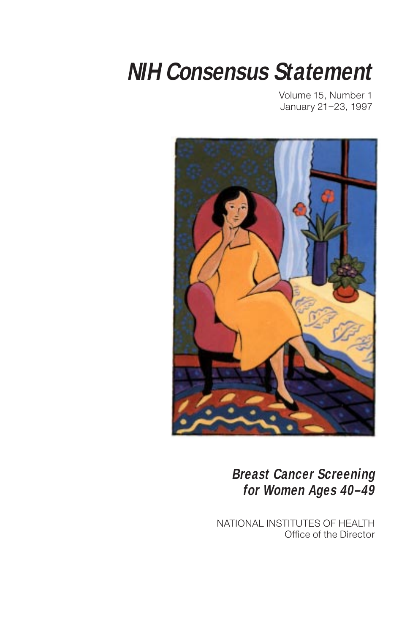# **NIH Consensus Statement**

Volume 15, Number 1 January 21–23, 1997



**Breast Cancer Screening for Women Ages 40–49**

NATIONAL INSTITUTES OF HEALTH Office of the Director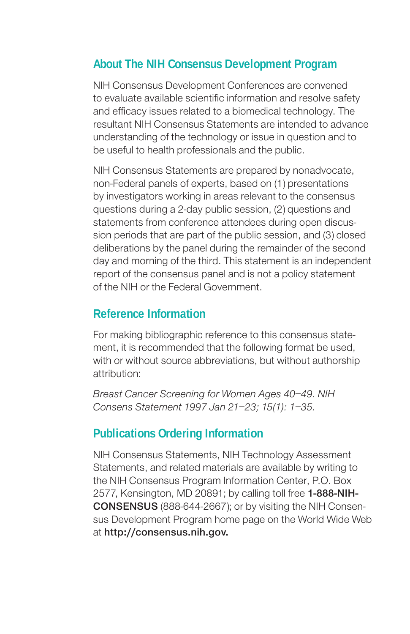### **About The NIH Consensus Development Program**

NIH Consensus Development Conferences are convened to evaluate available scientific information and resolve safety and efficacy issues related to a biomedical technology. The resultant NIH Consensus Statements are intended to advance understanding of the technology or issue in question and to be useful to health professionals and the public.

NIH Consensus Statements are prepared by nonadvocate, non-Federal panels of experts, based on (1) presentations by investigators working in areas relevant to the consensus questions during a 2-day public session, (2) questions and statements from conference attendees during open discussion periods that are part of the public session, and (3) closed deliberations by the panel during the remainder of the second day and morning of the third. This statement is an independent report of the consensus panel and is not a policy statement of the NIH or the Federal Government.

### **Reference Information**

For making bibliographic reference to this consensus statement, it is recommended that the following format be used, with or without source abbreviations, but without authorship attribution:

Breast Cancer Screening for Women Ages 40–49. NIH Consens Statement 1997 Jan 21–23; 15(1): 1–35.

### **Publications Ordering Information**

NIH Consensus Statements, NIH Technology Assessment Statements, and related materials are available by writing to the NIH Consensus Program Information Center, P.O. Box 2577, Kensington, MD 20891; by calling toll free 1-888-NIH-CONSENSUS (888-644-2667); or by visiting the NIH Consensus Development Program home page on the World Wide Web at http://consensus.nih.gov.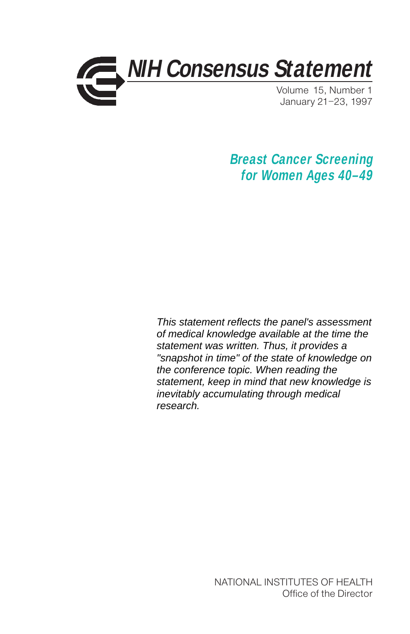

**Breast Cancer Screening for Women Ages 40–49**

This statement reflects the panel's assessment of medical knowledge available at the time the statement was written. Thus, it provides a "snapshot in time" of the state of knowledge on the conference topic. When reading the statement, keep in mind that new knowledge is inevitably accumulating through medical research.

> NATIONAL INSTITUTES OF HEALTH Office of the Director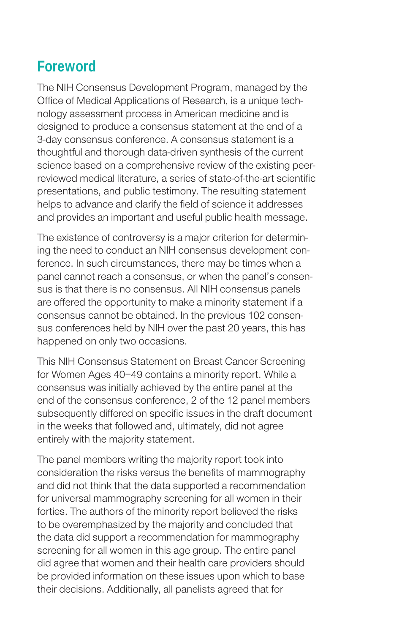# **Foreword**

The NIH Consensus Development Program, managed by the Office of Medical Applications of Research, is a unique technology assessment process in American medicine and is designed to produce a consensus statement at the end of a 3-day consensus conference. A consensus statement is a thoughtful and thorough data-driven synthesis of the current science based on a comprehensive review of the existing peerreviewed medical literature, a series of state-of-the-art scientific presentations, and public testimony. The resulting statement helps to advance and clarify the field of science it addresses and provides an important and useful public health message.

The existence of controversy is a major criterion for determining the need to conduct an NIH consensus development conference. In such circumstances, there may be times when a panel cannot reach a consensus, or when the panel's consensus is that there is no consensus. All NIH consensus panels are offered the opportunity to make a minority statement if a consensus cannot be obtained. In the previous 102 consensus conferences held by NIH over the past 20 years, this has happened on only two occasions.

This NIH Consensus Statement on Breast Cancer Screening for Women Ages 40–49 contains a minority report. While a consensus was initially achieved by the entire panel at the end of the consensus conference, 2 of the 12 panel members subsequently differed on specific issues in the draft document in the weeks that followed and, ultimately, did not agree entirely with the majority statement.

The panel members writing the majority report took into consideration the risks versus the benefits of mammography and did not think that the data supported a recommendation for universal mammography screening for all women in their forties. The authors of the minority report believed the risks to be overemphasized by the majority and concluded that the data did support a recommendation for mammography screening for all women in this age group. The entire panel did agree that women and their health care providers should be provided information on these issues upon which to base their decisions. Additionally, all panelists agreed that for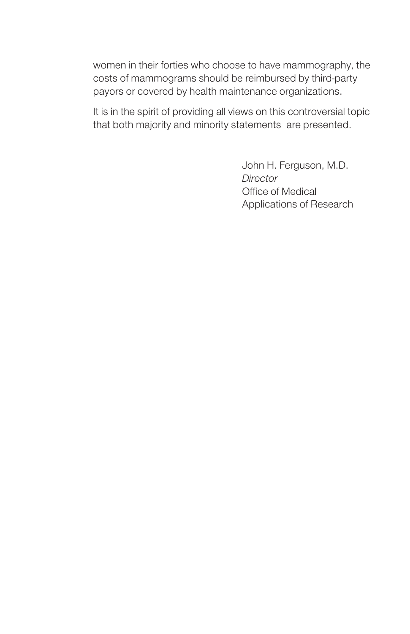women in their forties who choose to have mammography, the costs of mammograms should be reimbursed by third-party payors or covered by health maintenance organizations.

It is in the spirit of providing all views on this controversial topic that both majority and minority statements are presented.

> John H. Ferguson, M.D. **Director** Office of Medical Applications of Research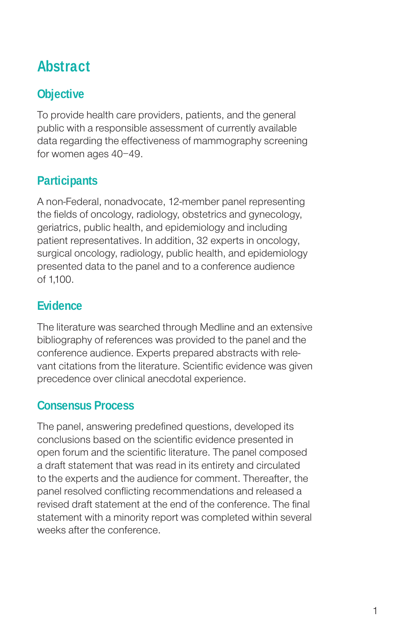# **Abstract**

# **Objective**

To provide health care providers, patients, and the general public with a responsible assessment of currently available data regarding the effectiveness of mammography screening for women ages 40–49.

### **Participants**

A non-Federal, nonadvocate, 12-member panel representing the fields of oncology, radiology, obstetrics and gynecology, geriatrics, public health, and epidemiology and including patient representatives. In addition, 32 experts in oncology, surgical oncology, radiology, public health, and epidemiology presented data to the panel and to a conference audience of 1,100.

### **Evidence**

The literature was searched through Medline and an extensive bibliography of references was provided to the panel and the conference audience. Experts prepared abstracts with relevant citations from the literature. Scientific evidence was given precedence over clinical anecdotal experience.

### **Consensus Process**

The panel, answering predefined questions, developed its conclusions based on the scientific evidence presented in open forum and the scientific literature. The panel composed a draft statement that was read in its entirety and circulated to the experts and the audience for comment. Thereafter, the panel resolved conflicting recommendations and released a revised draft statement at the end of the conference. The final statement with a minority report was completed within several weeks after the conference.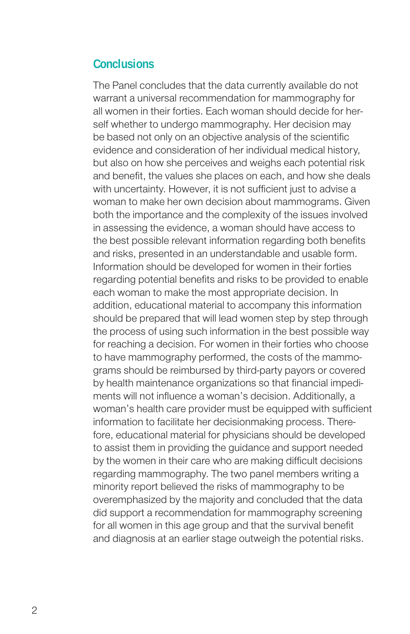### **Conclusions**

The Panel concludes that the data currently available do not warrant a universal recommendation for mammography for all women in their forties. Each woman should decide for herself whether to undergo mammography. Her decision may be based not only on an objective analysis of the scientific evidence and consideration of her individual medical history, but also on how she perceives and weighs each potential risk and benefit, the values she places on each, and how she deals with uncertainty. However, it is not sufficient just to advise a woman to make her own decision about mammograms. Given both the importance and the complexity of the issues involved in assessing the evidence, a woman should have access to the best possible relevant information regarding both benefits and risks, presented in an understandable and usable form. Information should be developed for women in their forties regarding potential benefits and risks to be provided to enable each woman to make the most appropriate decision. In addition, educational material to accompany this information should be prepared that will lead women step by step through the process of using such information in the best possible way for reaching a decision. For women in their forties who choose to have mammography performed, the costs of the mammograms should be reimbursed by third-party payors or covered by health maintenance organizations so that financial impediments will not influence a woman's decision. Additionally, a woman's health care provider must be equipped with sufficient information to facilitate her decisionmaking process. Therefore, educational material for physicians should be developed to assist them in providing the guidance and support needed by the women in their care who are making difficult decisions regarding mammography. The two panel members writing a minority report believed the risks of mammography to be overemphasized by the majority and concluded that the data did support a recommendation for mammography screening for all women in this age group and that the survival benefit and diagnosis at an earlier stage outweigh the potential risks.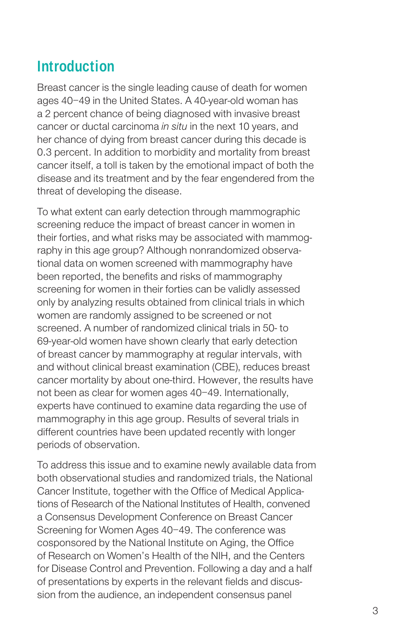# **Introduction**

Breast cancer is the single leading cause of death for women ages 40–49 in the United States. A 40-year-old woman has a 2 percent chance of being diagnosed with invasive breast cancer or ductal carcinoma in situ in the next 10 years, and her chance of dying from breast cancer during this decade is 0.3 percent. In addition to morbidity and mortality from breast cancer itself, a toll is taken by the emotional impact of both the disease and its treatment and by the fear engendered from the threat of developing the disease.

To what extent can early detection through mammographic screening reduce the impact of breast cancer in women in their forties, and what risks may be associated with mammography in this age group? Although nonrandomized observational data on women screened with mammography have been reported, the benefits and risks of mammography screening for women in their forties can be validly assessed only by analyzing results obtained from clinical trials in which women are randomly assigned to be screened or not screened. A number of randomized clinical trials in 50- to 69-year-old women have shown clearly that early detection of breast cancer by mammography at regular intervals, with and without clinical breast examination (CBE), reduces breast cancer mortality by about one-third. However, the results have not been as clear for women ages 40–49. Internationally, experts have continued to examine data regarding the use of mammography in this age group. Results of several trials in different countries have been updated recently with longer periods of observation.

To address this issue and to examine newly available data from both observational studies and randomized trials, the National Cancer Institute, together with the Office of Medical Applications of Research of the National Institutes of Health, convened a Consensus Development Conference on Breast Cancer Screening for Women Ages 40–49. The conference was cosponsored by the National Institute on Aging, the Office of Research on Women's Health of the NIH, and the Centers for Disease Control and Prevention. Following a day and a half of presentations by experts in the relevant fields and discussion from the audience, an independent consensus panel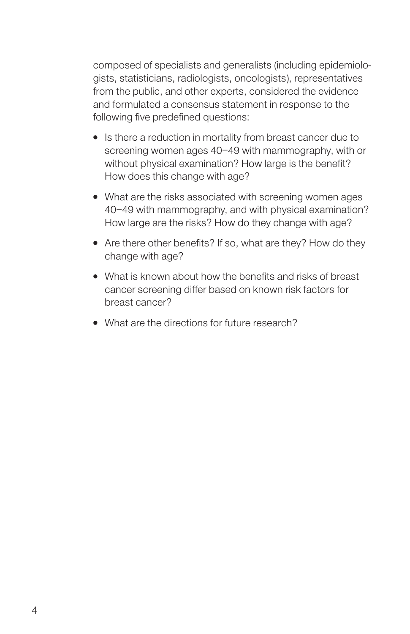composed of specialists and generalists (including epidemiologists, statisticians, radiologists, oncologists), representatives from the public, and other experts, considered the evidence and formulated a consensus statement in response to the following five predefined questions:

- Is there a reduction in mortality from breast cancer due to screening women ages 40–49 with mammography, with or without physical examination? How large is the benefit? How does this change with age?
- What are the risks associated with screening women ages 40–49 with mammography, and with physical examination? How large are the risks? How do they change with age?
- Are there other benefits? If so, what are they? How do they change with age?
- What is known about how the benefits and risks of breast cancer screening differ based on known risk factors for breast cancer?
- What are the directions for future research?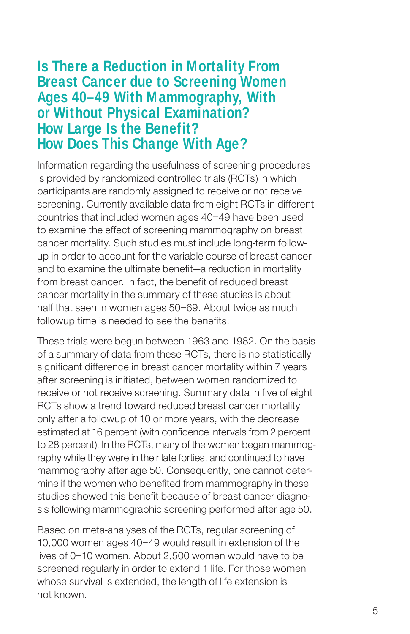### **Is There a Reduction in Mortality From Breast Cancer due to Screening Women Ages 40–49 With Mammography, With or Without Physical Examination? How Large Is the Benefit? How Does This Change With Age?**

Information regarding the usefulness of screening procedures is provided by randomized controlled trials (RCTs) in which participants are randomly assigned to receive or not receive screening. Currently available data from eight RCTs in different countries that included women ages 40–49 have been used to examine the effect of screening mammography on breast cancer mortality. Such studies must include long-term followup in order to account for the variable course of breast cancer and to examine the ultimate benefit—a reduction in mortality from breast cancer. In fact, the benefit of reduced breast cancer mortality in the summary of these studies is about half that seen in women ages 50–69. About twice as much followup time is needed to see the benefits.

These trials were begun between 1963 and 1982. On the basis of a summary of data from these RCTs, there is no statistically significant difference in breast cancer mortality within 7 years after screening is initiated, between women randomized to receive or not receive screening. Summary data in five of eight RCTs show a trend toward reduced breast cancer mortality only after a followup of 10 or more years, with the decrease estimated at 16 percent (with confidence intervals from 2 percent to 28 percent). In the RCTs, many of the women began mammography while they were in their late forties, and continued to have mammography after age 50. Consequently, one cannot determine if the women who benefited from mammography in these studies showed this benefit because of breast cancer diagnosis following mammographic screening performed after age 50.

Based on meta-analyses of the RCTs, regular screening of 10,000 women ages 40–49 would result in extension of the lives of 0–10 women. About 2,500 women would have to be screened regularly in order to extend 1 life. For those women whose survival is extended, the length of life extension is not known.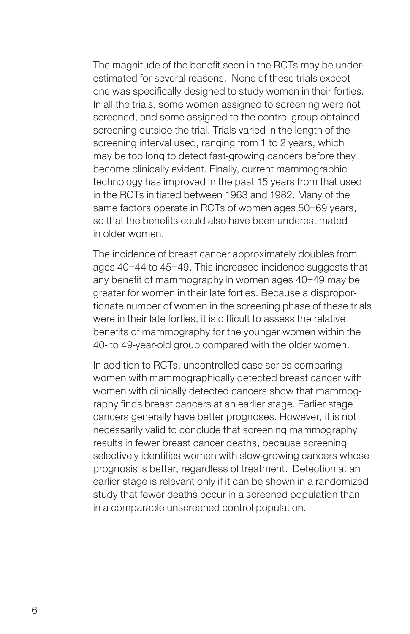The magnitude of the benefit seen in the RCTs may be underestimated for several reasons. None of these trials except one was specifically designed to study women in their forties. In all the trials, some women assigned to screening were not screened, and some assigned to the control group obtained screening outside the trial. Trials varied in the length of the screening interval used, ranging from 1 to 2 years, which may be too long to detect fast-growing cancers before they become clinically evident. Finally, current mammographic technology has improved in the past 15 years from that used in the RCTs initiated between 1963 and 1982. Many of the same factors operate in RCTs of women ages 50–69 years, so that the benefits could also have been underestimated in older women.

The incidence of breast cancer approximately doubles from ages 40–44 to 45–49. This increased incidence suggests that any benefit of mammography in women ages 40–49 may be greater for women in their late forties. Because a disproportionate number of women in the screening phase of these trials were in their late forties, it is difficult to assess the relative benefits of mammography for the younger women within the 40- to 49-year-old group compared with the older women.

In addition to RCTs, uncontrolled case series comparing women with mammographically detected breast cancer with women with clinically detected cancers show that mammography finds breast cancers at an earlier stage. Earlier stage cancers generally have better prognoses. However, it is not necessarily valid to conclude that screening mammography results in fewer breast cancer deaths, because screening selectively identifies women with slow-growing cancers whose prognosis is better, regardless of treatment. Detection at an earlier stage is relevant only if it can be shown in a randomized study that fewer deaths occur in a screened population than in a comparable unscreened control population.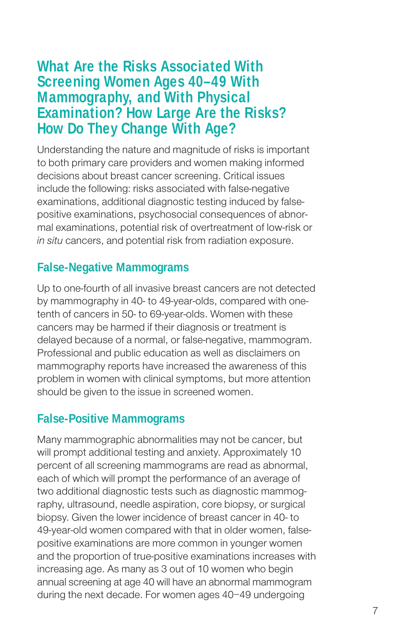## **What Are the Risks Associated With Screening Women Ages 40–49 With Mammography, and With Physical Examination? How Large Are the Risks? How Do They Change With Age?**

Understanding the nature and magnitude of risks is important to both primary care providers and women making informed decisions about breast cancer screening. Critical issues include the following: risks associated with false-negative examinations, additional diagnostic testing induced by falsepositive examinations, psychosocial consequences of abnormal examinations, potential risk of overtreatment of low-risk or in situ cancers, and potential risk from radiation exposure.

### **False-Negative Mammograms**

Up to one-fourth of all invasive breast cancers are not detected by mammography in 40- to 49-year-olds, compared with onetenth of cancers in 50- to 69-year-olds. Women with these cancers may be harmed if their diagnosis or treatment is delayed because of a normal, or false-negative, mammogram. Professional and public education as well as disclaimers on mammography reports have increased the awareness of this problem in women with clinical symptoms, but more attention should be given to the issue in screened women.

### **False-Positive Mammograms**

Many mammographic abnormalities may not be cancer, but will prompt additional testing and anxiety. Approximately 10 percent of all screening mammograms are read as abnormal, each of which will prompt the performance of an average of two additional diagnostic tests such as diagnostic mammography, ultrasound, needle aspiration, core biopsy, or surgical biopsy. Given the lower incidence of breast cancer in 40- to 49-year-old women compared with that in older women, falsepositive examinations are more common in younger women and the proportion of true-positive examinations increases with increasing age. As many as 3 out of 10 women who begin annual screening at age 40 will have an abnormal mammogram during the next decade. For women ages 40–49 undergoing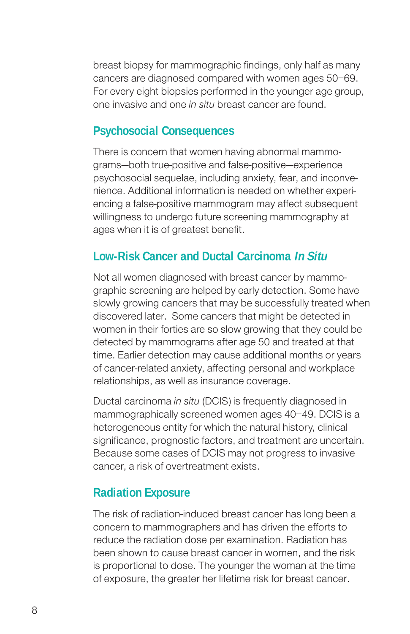breast biopsy for mammographic findings, only half as many cancers are diagnosed compared with women ages 50–69. For every eight biopsies performed in the younger age group, one invasive and one in situ breast cancer are found.

### **Psychosocial Consequences**

There is concern that women having abnormal mammograms—both true-positive and false-positive—experience psychosocial sequelae, including anxiety, fear, and inconvenience. Additional information is needed on whether experiencing a false-positive mammogram may affect subsequent willingness to undergo future screening mammography at ages when it is of greatest benefit.

### **Low-Risk Cancer and Ductal Carcinoma In Situ**

Not all women diagnosed with breast cancer by mammographic screening are helped by early detection. Some have slowly growing cancers that may be successfully treated when discovered later. Some cancers that might be detected in women in their forties are so slow growing that they could be detected by mammograms after age 50 and treated at that time. Earlier detection may cause additional months or years of cancer-related anxiety, affecting personal and workplace relationships, as well as insurance coverage.

Ductal carcinoma in situ (DCIS) is frequently diagnosed in mammographically screened women ages 40–49. DCIS is a heterogeneous entity for which the natural history, clinical significance, prognostic factors, and treatment are uncertain. Because some cases of DCIS may not progress to invasive cancer, a risk of overtreatment exists.

### **Radiation Exposure**

The risk of radiation-induced breast cancer has long been a concern to mammographers and has driven the efforts to reduce the radiation dose per examination. Radiation has been shown to cause breast cancer in women, and the risk is proportional to dose. The younger the woman at the time of exposure, the greater her lifetime risk for breast cancer.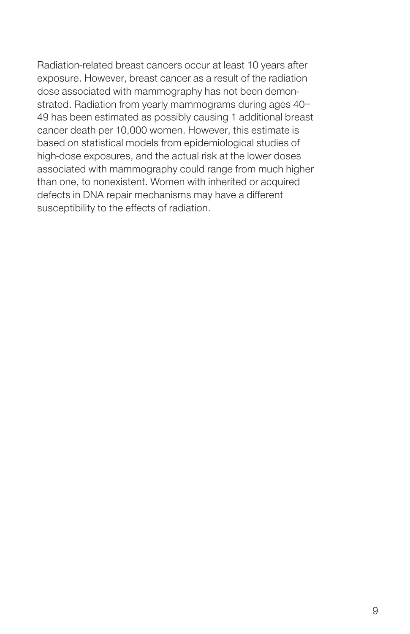Radiation-related breast cancers occur at least 10 years after exposure. However, breast cancer as a result of the radiation dose associated with mammography has not been demonstrated. Radiation from yearly mammograms during ages 40– 49 has been estimated as possibly causing 1 additional breast cancer death per 10,000 women. However, this estimate is based on statistical models from epidemiological studies of high-dose exposures, and the actual risk at the lower doses associated with mammography could range from much higher than one, to nonexistent. Women with inherited or acquired defects in DNA repair mechanisms may have a different susceptibility to the effects of radiation.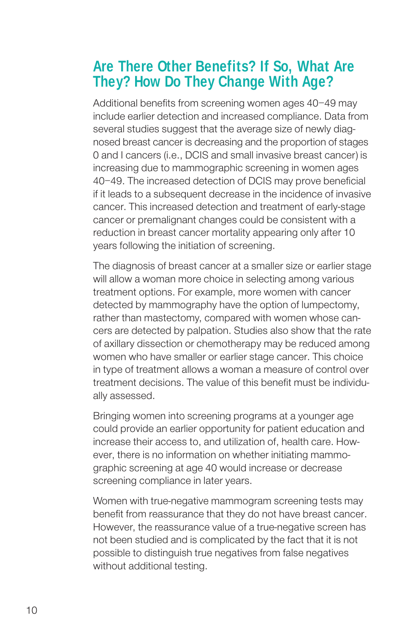# **Are There Other Benefits? If So, What Are They? How Do They Change With Age?**

Additional benefits from screening women ages 40–49 may include earlier detection and increased compliance. Data from several studies suggest that the average size of newly diagnosed breast cancer is decreasing and the proportion of stages 0 and I cancers (i.e., DCIS and small invasive breast cancer) is increasing due to mammographic screening in women ages 40–49. The increased detection of DCIS may prove beneficial if it leads to a subsequent decrease in the incidence of invasive cancer. This increased detection and treatment of early-stage cancer or premalignant changes could be consistent with a reduction in breast cancer mortality appearing only after 10 years following the initiation of screening.

The diagnosis of breast cancer at a smaller size or earlier stage will allow a woman more choice in selecting among various treatment options. For example, more women with cancer detected by mammography have the option of lumpectomy, rather than mastectomy, compared with women whose cancers are detected by palpation. Studies also show that the rate of axillary dissection or chemotherapy may be reduced among women who have smaller or earlier stage cancer. This choice in type of treatment allows a woman a measure of control over treatment decisions. The value of this benefit must be individually assessed.

Bringing women into screening programs at a younger age could provide an earlier opportunity for patient education and increase their access to, and utilization of, health care. However, there is no information on whether initiating mammographic screening at age 40 would increase or decrease screening compliance in later years.

Women with true-negative mammogram screening tests may benefit from reassurance that they do not have breast cancer. However, the reassurance value of a true-negative screen has not been studied and is complicated by the fact that it is not possible to distinguish true negatives from false negatives without additional testing.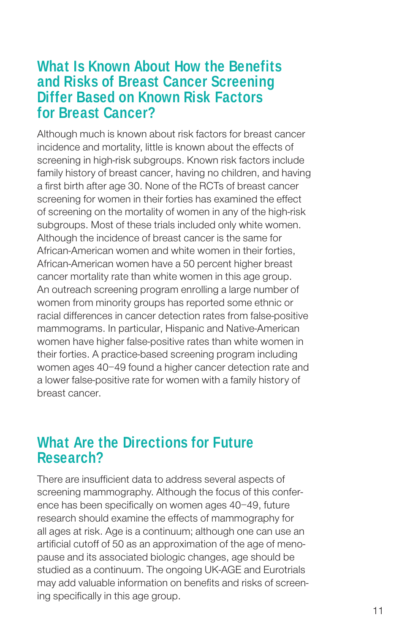### **What Is Known About How the Benefits and Risks of Breast Cancer Screening Differ Based on Known Risk Factors for Breast Cancer?**

Although much is known about risk factors for breast cancer incidence and mortality, little is known about the effects of screening in high-risk subgroups. Known risk factors include family history of breast cancer, having no children, and having a first birth after age 30. None of the RCTs of breast cancer screening for women in their forties has examined the effect of screening on the mortality of women in any of the high-risk subgroups. Most of these trials included only white women. Although the incidence of breast cancer is the same for African-American women and white women in their forties, African-American women have a 50 percent higher breast cancer mortality rate than white women in this age group. An outreach screening program enrolling a large number of women from minority groups has reported some ethnic or racial differences in cancer detection rates from false-positive mammograms. In particular, Hispanic and Native-American women have higher false-positive rates than white women in their forties. A practice-based screening program including women ages 40–49 found a higher cancer detection rate and a lower false-positive rate for women with a family history of breast cancer.

### **What Are the Directions for Future Research?**

There are insufficient data to address several aspects of screening mammography. Although the focus of this conference has been specifically on women ages 40–49, future research should examine the effects of mammography for all ages at risk. Age is a continuum; although one can use an artificial cutoff of 50 as an approximation of the age of menopause and its associated biologic changes, age should be studied as a continuum. The ongoing UK-AGE and Eurotrials may add valuable information on benefits and risks of screening specifically in this age group.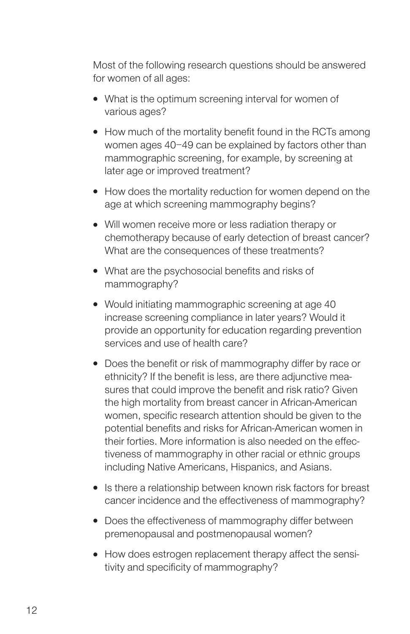Most of the following research questions should be answered for women of all ages:

- What is the optimum screening interval for women of various ages?
- How much of the mortality benefit found in the RCTs among women ages 40–49 can be explained by factors other than mammographic screening, for example, by screening at later age or improved treatment?
- How does the mortality reduction for women depend on the age at which screening mammography begins?
- Will women receive more or less radiation therapy or chemotherapy because of early detection of breast cancer? What are the consequences of these treatments?
- What are the psychosocial benefits and risks of mammography?
- Would initiating mammographic screening at age 40 increase screening compliance in later years? Would it provide an opportunity for education regarding prevention services and use of health care?
- Does the benefit or risk of mammography differ by race or ethnicity? If the benefit is less, are there adjunctive measures that could improve the benefit and risk ratio? Given the high mortality from breast cancer in African-American women, specific research attention should be given to the potential benefits and risks for African-American women in their forties. More information is also needed on the effectiveness of mammography in other racial or ethnic groups including Native Americans, Hispanics, and Asians.
- Is there a relationship between known risk factors for breast cancer incidence and the effectiveness of mammography?
- Does the effectiveness of mammography differ between premenopausal and postmenopausal women?
- How does estrogen replacement therapy affect the sensitivity and specificity of mammography?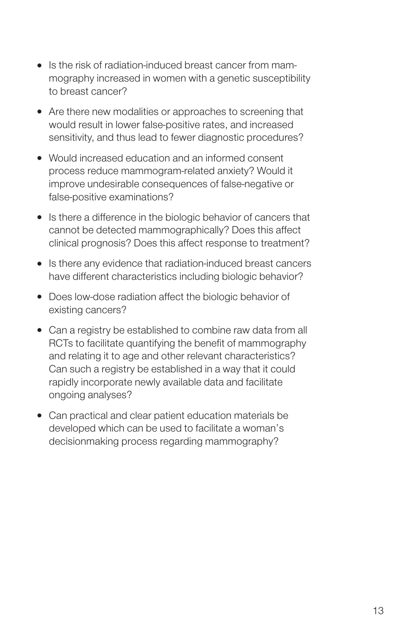- Is the risk of radiation-induced breast cancer from mammography increased in women with a genetic susceptibility to breast cancer?
- Are there new modalities or approaches to screening that would result in lower false-positive rates, and increased sensitivity, and thus lead to fewer diagnostic procedures?
- Would increased education and an informed consent process reduce mammogram-related anxiety? Would it improve undesirable consequences of false-negative or false-positive examinations?
- Is there a difference in the biologic behavior of cancers that cannot be detected mammographically? Does this affect clinical prognosis? Does this affect response to treatment?
- Is there any evidence that radiation-induced breast cancers have different characteristics including biologic behavior?
- Does low-dose radiation affect the biologic behavior of existing cancers?
- Can a registry be established to combine raw data from all RCTs to facilitate quantifying the benefit of mammography and relating it to age and other relevant characteristics? Can such a registry be established in a way that it could rapidly incorporate newly available data and facilitate ongoing analyses?
- Can practical and clear patient education materials be developed which can be used to facilitate a woman's decisionmaking process regarding mammography?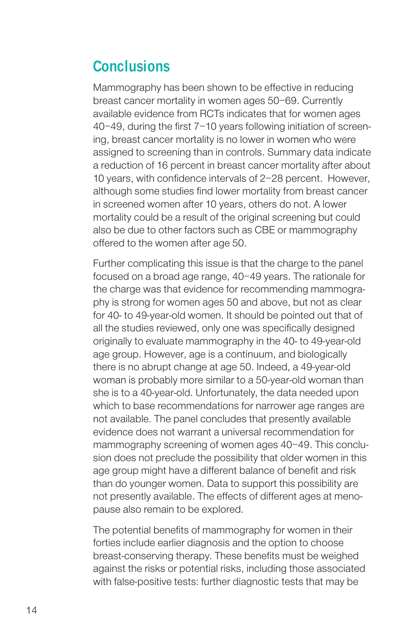# **Conclusions**

Mammography has been shown to be effective in reducing breast cancer mortality in women ages 50–69. Currently available evidence from RCTs indicates that for women ages 40–49, during the first 7–10 years following initiation of screening, breast cancer mortality is no lower in women who were assigned to screening than in controls. Summary data indicate a reduction of 16 percent in breast cancer mortality after about 10 years, with confidence intervals of 2–28 percent. However, although some studies find lower mortality from breast cancer in screened women after 10 years, others do not. A lower mortality could be a result of the original screening but could also be due to other factors such as CBE or mammography offered to the women after age 50.

Further complicating this issue is that the charge to the panel focused on a broad age range, 40–49 years. The rationale for the charge was that evidence for recommending mammography is strong for women ages 50 and above, but not as clear for 40- to 49-year-old women. It should be pointed out that of all the studies reviewed, only one was specifically designed originally to evaluate mammography in the 40- to 49-year-old age group. However, age is a continuum, and biologically there is no abrupt change at age 50. Indeed, a 49-year-old woman is probably more similar to a 50-year-old woman than she is to a 40-year-old. Unfortunately, the data needed upon which to base recommendations for narrower age ranges are not available. The panel concludes that presently available evidence does not warrant a universal recommendation for mammography screening of women ages 40–49. This conclusion does not preclude the possibility that older women in this age group might have a different balance of benefit and risk than do younger women. Data to support this possibility are not presently available. The effects of different ages at menopause also remain to be explored.

The potential benefits of mammography for women in their forties include earlier diagnosis and the option to choose breast-conserving therapy. These benefits must be weighed against the risks or potential risks, including those associated with false-positive tests: further diagnostic tests that may be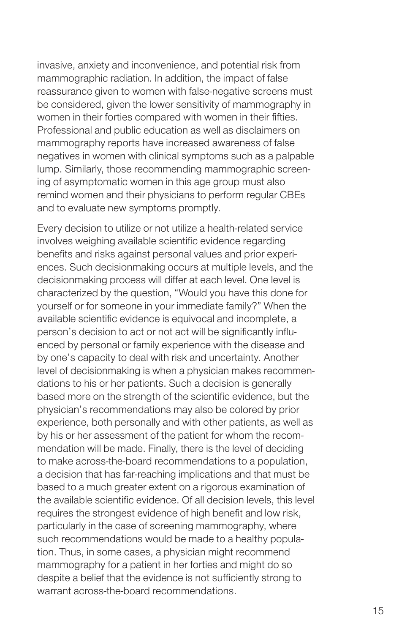invasive, anxiety and inconvenience, and potential risk from mammographic radiation. In addition, the impact of false reassurance given to women with false-negative screens must be considered, given the lower sensitivity of mammography in women in their forties compared with women in their fifties. Professional and public education as well as disclaimers on mammography reports have increased awareness of false negatives in women with clinical symptoms such as a palpable lump. Similarly, those recommending mammographic screening of asymptomatic women in this age group must also remind women and their physicians to perform regular CBEs and to evaluate new symptoms promptly.

Every decision to utilize or not utilize a health-related service involves weighing available scientific evidence regarding benefits and risks against personal values and prior experiences. Such decisionmaking occurs at multiple levels, and the decisionmaking process will differ at each level. One level is characterized by the question, "Would you have this done for yourself or for someone in your immediate family?" When the available scientific evidence is equivocal and incomplete, a person's decision to act or not act will be significantly influenced by personal or family experience with the disease and by one's capacity to deal with risk and uncertainty. Another level of decisionmaking is when a physician makes recommendations to his or her patients. Such a decision is generally based more on the strength of the scientific evidence, but the physician's recommendations may also be colored by prior experience, both personally and with other patients, as well as by his or her assessment of the patient for whom the recommendation will be made. Finally, there is the level of deciding to make across-the-board recommendations to a population, a decision that has far-reaching implications and that must be based to a much greater extent on a rigorous examination of the available scientific evidence. Of all decision levels, this level requires the strongest evidence of high benefit and low risk, particularly in the case of screening mammography, where such recommendations would be made to a healthy population. Thus, in some cases, a physician might recommend mammography for a patient in her forties and might do so despite a belief that the evidence is not sufficiently strong to warrant across-the-board recommendations.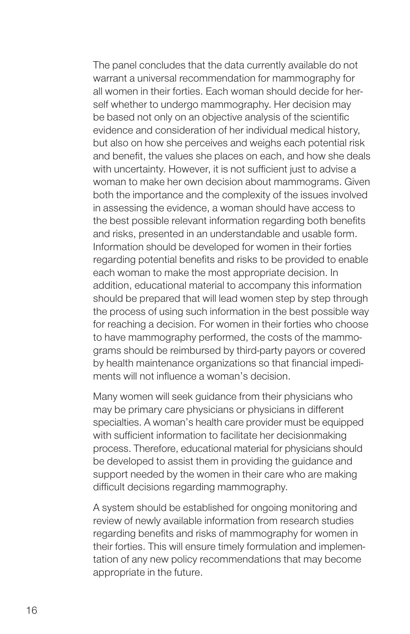The panel concludes that the data currently available do not warrant a universal recommendation for mammography for all women in their forties. Each woman should decide for herself whether to undergo mammography. Her decision may be based not only on an objective analysis of the scientific evidence and consideration of her individual medical history, but also on how she perceives and weighs each potential risk and benefit, the values she places on each, and how she deals with uncertainty. However, it is not sufficient just to advise a woman to make her own decision about mammograms. Given both the importance and the complexity of the issues involved in assessing the evidence, a woman should have access to the best possible relevant information regarding both benefits and risks, presented in an understandable and usable form. Information should be developed for women in their forties regarding potential benefits and risks to be provided to enable each woman to make the most appropriate decision. In addition, educational material to accompany this information should be prepared that will lead women step by step through the process of using such information in the best possible way for reaching a decision. For women in their forties who choose to have mammography performed, the costs of the mammograms should be reimbursed by third-party payors or covered by health maintenance organizations so that financial impediments will not influence a woman's decision.

Many women will seek guidance from their physicians who may be primary care physicians or physicians in different specialties. A woman's health care provider must be equipped with sufficient information to facilitate her decisionmaking process. Therefore, educational material for physicians should be developed to assist them in providing the guidance and support needed by the women in their care who are making difficult decisions regarding mammography.

A system should be established for ongoing monitoring and review of newly available information from research studies regarding benefits and risks of mammography for women in their forties. This will ensure timely formulation and implementation of any new policy recommendations that may become appropriate in the future.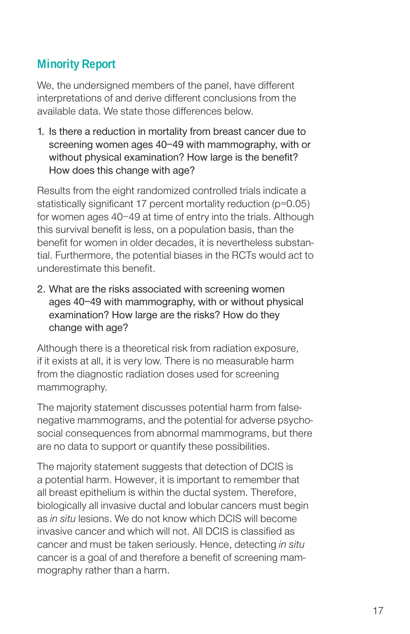### **Minority Report**

We, the undersigned members of the panel, have different interpretations of and derive different conclusions from the available data. We state those differences below.

1. Is there a reduction in mortality from breast cancer due to screening women ages 40–49 with mammography, with or without physical examination? How large is the benefit? How does this change with age?

Results from the eight randomized controlled trials indicate a statistically significant 17 percent mortality reduction (p=0.05) for women ages 40–49 at time of entry into the trials. Although this survival benefit is less, on a population basis, than the benefit for women in older decades, it is nevertheless substantial. Furthermore, the potential biases in the RCTs would act to underestimate this benefit.

2. What are the risks associated with screening women ages 40–49 with mammography, with or without physical examination? How large are the risks? How do they change with age?

Although there is a theoretical risk from radiation exposure, if it exists at all, it is very low. There is no measurable harm from the diagnostic radiation doses used for screening mammography.

The majority statement discusses potential harm from falsenegative mammograms, and the potential for adverse psychosocial consequences from abnormal mammograms, but there are no data to support or quantify these possibilities.

The majority statement suggests that detection of DCIS is a potential harm. However, it is important to remember that all breast epithelium is within the ductal system. Therefore, biologically all invasive ductal and lobular cancers must begin as in situ lesions. We do not know which DCIS will become invasive cancer and which will not. All DCIS is classified as cancer and must be taken seriously. Hence, detecting in situ cancer is a goal of and therefore a benefit of screening mammography rather than a harm.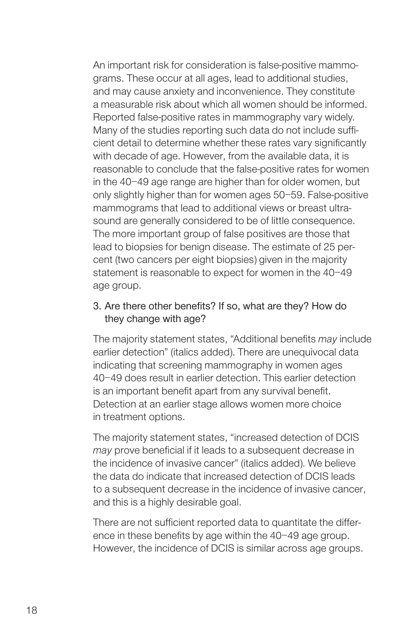An important risk for consideration is false-positive mammograms. These occur at all ages, lead to additional studies, and may cause anxiety and inconvenience. They constitute a measurable risk about which all women should be informed. Reported false-positive rates in mammography vary widely. Many of the studies reporting such data do not include sufficient detail to determine whether these rates vary significantly with decade of age. However, from the available data, it is reasonable to conclude that the false-positive rates for women in the 40–49 age range are higher than for older women, but only slightly higher than for women ages 50–59. False-positive mammograms that lead to additional views or breast ultrasound are generally considered to be of little consequence. The more important group of false positives are those that lead to biopsies for benign disease. The estimate of 25 percent (two cancers per eight biopsies) given in the majority statement is reasonable to expect for women in the 40–49 age group.

### 3. Are there other benefits? If so, what are they? How do they change with age?

The majority statement states, "Additional benefits may include earlier detection" (italics added). There are unequivocal data indicating that screening mammography in women ages 40–49 does result in earlier detection. This earlier detection is an important benefit apart from any survival benefit. Detection at an earlier stage allows women more choice in treatment options.

The majority statement states, "increased detection of DCIS may prove beneficial if it leads to a subsequent decrease in the incidence of invasive cancer" (italics added). We believe the data do indicate that increased detection of DCIS leads to a subsequent decrease in the incidence of invasive cancer, and this is a highly desirable goal.

There are not sufficient reported data to quantitate the difference in these benefits by age within the 40–49 age group. However, the incidence of DCIS is similar across age groups.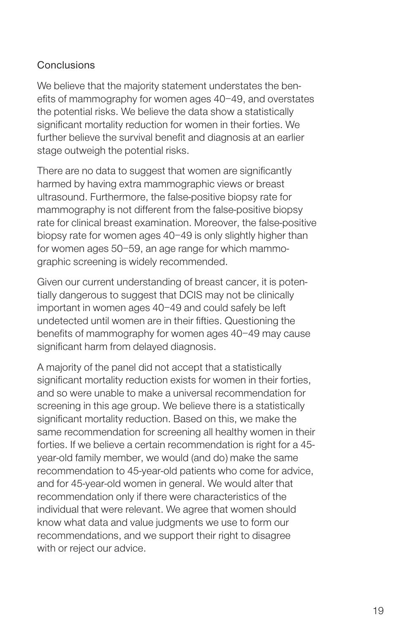### **Conclusions**

We believe that the majority statement understates the benefits of mammography for women ages 40–49, and overstates the potential risks. We believe the data show a statistically significant mortality reduction for women in their forties. We further believe the survival benefit and diagnosis at an earlier stage outweigh the potential risks.

There are no data to suggest that women are significantly harmed by having extra mammographic views or breast ultrasound. Furthermore, the false-positive biopsy rate for mammography is not different from the false-positive biopsy rate for clinical breast examination. Moreover, the false-positive biopsy rate for women ages 40–49 is only slightly higher than for women ages 50–59, an age range for which mammographic screening is widely recommended.

Given our current understanding of breast cancer, it is potentially dangerous to suggest that DCIS may not be clinically important in women ages 40–49 and could safely be left undetected until women are in their fifties. Questioning the benefits of mammography for women ages 40–49 may cause significant harm from delayed diagnosis.

A majority of the panel did not accept that a statistically significant mortality reduction exists for women in their forties. and so were unable to make a universal recommendation for screening in this age group. We believe there is a statistically significant mortality reduction. Based on this, we make the same recommendation for screening all healthy women in their forties. If we believe a certain recommendation is right for a 45 year-old family member, we would (and do) make the same recommendation to 45-year-old patients who come for advice, and for 45-year-old women in general. We would alter that recommendation only if there were characteristics of the individual that were relevant. We agree that women should know what data and value judgments we use to form our recommendations, and we support their right to disagree with or reject our advice.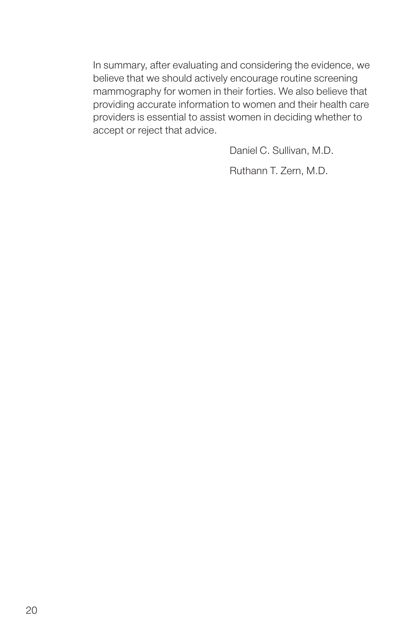In summary, after evaluating and considering the evidence, we believe that we should actively encourage routine screening mammography for women in their forties. We also believe that providing accurate information to women and their health care providers is essential to assist women in deciding whether to accept or reject that advice.

Daniel C. Sullivan, M.D.

Ruthann T. Zern, M.D.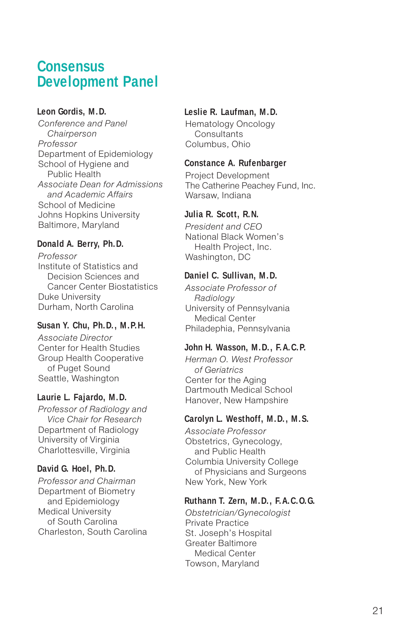### **Consensus Development Panel**

#### **Leon Gordis, M.D.**

Conference and Panel **Chairperson** Professor Department of Epidemiology School of Hygiene and Public Health Associate Dean for Admissions and Academic Affairs School of Medicine Johns Hopkins University Baltimore, Maryland

#### **Donald A. Berry, Ph.D.**

Professor Institute of Statistics and Decision Sciences and Cancer Center Biostatistics Duke University Durham, North Carolina

#### **Susan Y. Chu, Ph.D., M.P.H.**

Associate Director Center for Health Studies Group Health Cooperative of Puget Sound Seattle, Washington

#### **Laurie L. Fajardo, M.D.**

Professor of Radiology and Vice Chair for Research Department of Radiology University of Virginia Charlottesville, Virginia

#### **David G. Hoel, Ph.D.**

Professor and Chairman Department of Biometry and Epidemiology Medical University of South Carolina Charleston, South Carolina

#### **Leslie R. Laufman, M.D.**

Hematology Oncology **Consultants** Columbus, Ohio

#### **Constance A. Rufenbarger**

Project Development The Catherine Peachey Fund, Inc. Warsaw, Indiana

#### **Julia R. Scott, R.N.**

President and CEO National Black Women's Health Project, Inc. Washington, DC

#### **Daniel C. Sullivan, M.D.**

Associate Professor of Radiology University of Pennsylvania Medical Center Philadephia, Pennsylvania

#### **John H. Wasson, M.D., F.A.C.P.**

Herman O. West Professor of Geriatrics Center for the Aging Dartmouth Medical School Hanover, New Hampshire

#### **Carolyn L. Westhoff, M.D., M.S.**

Associate Professor Obstetrics, Gynecology, and Public Health Columbia University College of Physicians and Surgeons New York, New York

#### **Ruthann T. Zern, M.D., F.A.C.O.G.**

Obstetrician/Gynecologist Private Practice St. Joseph's Hospital Greater Baltimore Medical Center Towson, Maryland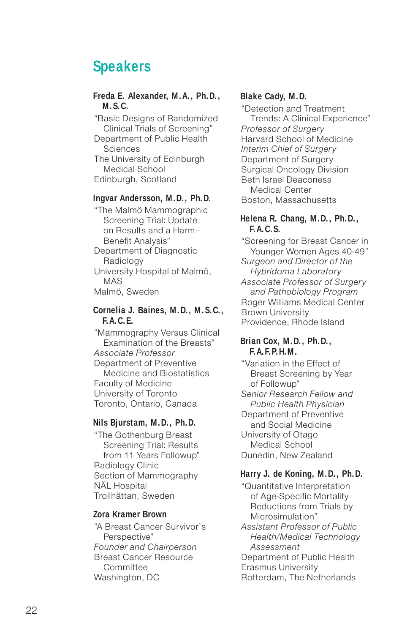# **Speakers**

#### **Freda E. Alexander, M.A., Ph.D., M.S.C.**

"Basic Designs of Randomized Clinical Trials of Screening"

Department of Public Health Sciences

The University of Edinburgh Medical School Edinburgh, Scotland

#### **Ingvar Andersson, M.D., Ph.D.**

"The Malmö Mammographic Screening Trial: Update on Results and a Harm– Benefit Analysis" Department of Diagnostic

Radiology University Hospital of Malmö, MAS Malmö, Sweden

#### **Cornelia J. Baines, M.D., M.S.C., F.A.C.E.**

"Mammography Versus Clinical Examination of the Breasts" Associate Professor Department of Preventive Medicine and Biostatistics Faculty of Medicine University of Toronto Toronto, Ontario, Canada

#### **Nils Bjurstam, M.D., Ph.D.**

"The Gothenburg Breast Screening Trial: Results from 11 Years Followup" Radiology Clinic Section of Mammography NÄL Hospital Trollhättan, Sweden

#### **Zora Kramer Brown**

"A Breast Cancer Survivor's Perspective" Founder and Chairperson Breast Cancer Resource Committee Washington, DC

#### **Blake Cady, M.D.**

"Detection and Treatment Trends: A Clinical Experience" Professor of Surgery Harvard School of Medicine Interim Chief of Surgery Department of Surgery Surgical Oncology Division Beth Israel Deaconess Medical Center Boston, Massachusetts

#### **Helena R. Chang, M.D., Ph.D., F.A.C.S.**

"Screening for Breast Cancer in Younger Women Ages 40-49" Surgeon and Director of the Hybridoma Laboratory Associate Professor of Surgery and Pathobiology Program Roger Williams Medical Center Brown University Providence, Rhode Island

#### **Brian Cox, M.D., Ph.D., F.A.F.P.H.M.**

"Variation in the Effect of Breast Screening by Year of Followup" Senior Research Fellow and Public Health Physician Department of Preventive and Social Medicine University of Otago Medical School Dunedin, New Zealand

#### **Harry J. de Koning, M.D., Ph.D.**

"Quantitative Interpretation of Age-Specific Mortality Reductions from Trials by Microsimulation" Assistant Professor of Public

Health/Medical Technology Assessment

Department of Public Health Erasmus University Rotterdam, The Netherlands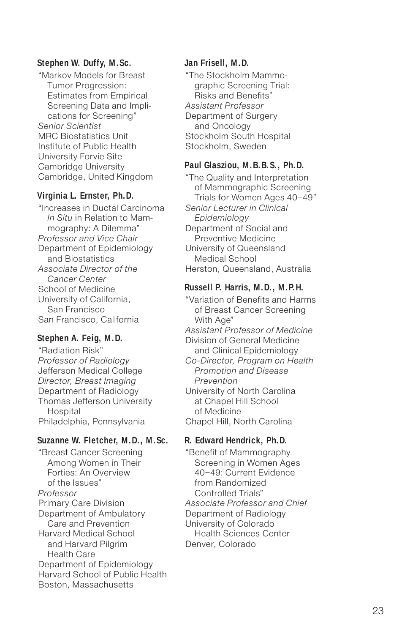#### **Stephen W. Duffy, M.Sc.**

"Markov Models for Breast Tumor Progression: Estimates from Empirical Screening Data and Implications for Screening" Senior Scientist MRC Biostatistics Unit Institute of Public Health University Forvie Site Cambridge University Cambridge, United Kingdom

#### **Virginia L. Ernster, Ph.D.**

"Increases in Ductal Carcinoma In Situ in Relation to Mammography: A Dilemma" Professor and Vice Chair Department of Epidemiology and Biostatistics Associate Director of the Cancer Center School of Medicine University of California, San Francisco San Francisco, California

#### **Stephen A. Feig, M.D.**

"Radiation Risk" Professor of Radiology Jefferson Medical College Director, Breast Imaging Department of Radiology Thomas Jefferson University **Hospital** Philadelphia, Pennsylvania

#### **Suzanne W. Fletcher, M.D., M.Sc.**

"Breast Cancer Screening Among Women in Their Forties: An Overview of the Issues" Professor Primary Care Division Department of Ambulatory Care and Prevention Harvard Medical School and Harvard Pilgrim Health Care Department of Epidemiology Harvard School of Public Health Boston, Massachusetts

#### **Jan Frisell, M.D.**

"The Stockholm Mammographic Screening Trial: Risks and Benefits" Assistant Professor Department of Surgery and Oncology Stockholm South Hospital Stockholm, Sweden

#### **Paul Glasziou, M.B.B.S., Ph.D.**

"The Quality and Interpretation of Mammographic Screening Trials for Women Ages 40–49" Senior Lecturer in Clinical Epidemiology Department of Social and Preventive Medicine University of Queensland Medical School Herston, Queensland, Australia

#### **Russell P. Harris, M.D., M.P.H.**

"Variation of Benefits and Harms of Breast Cancer Screening With Age" Assistant Professor of Medicine Division of General Medicine and Clinical Epidemiology Co-Director, Program on Health Promotion and Disease Prevention University of North Carolina at Chapel Hill School of Medicine Chapel Hill, North Carolina

#### **R. Edward Hendrick, Ph.D.**

"Benefit of Mammography Screening in Women Ages 40–49: Current Evidence from Randomized Controlled Trials" Associate Professor and Chief Department of Radiology University of Colorado Health Sciences Center Denver, Colorado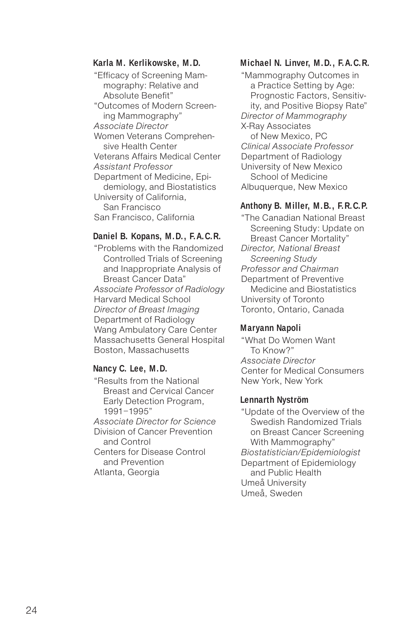#### **Karla M. Kerlikowske, M.D.**

"Efficacy of Screening Mammography: Relative and Absolute Benefit" "Outcomes of Modern Screening Mammography" Associate Director Women Veterans Comprehensive Health Center Veterans Affairs Medical Center Assistant Professor Department of Medicine, Epidemiology, and Biostatistics University of California, San Francisco San Francisco, California

#### **Daniel B. Kopans, M.D., F.A.C.R.**

"Problems with the Randomized Controlled Trials of Screening and Inappropriate Analysis of Breast Cancer Data" Associate Professor of Radiology Harvard Medical School Director of Breast Imaging Department of Radiology Wang Ambulatory Care Center Massachusetts General Hospital Boston, Massachusetts

#### **Nancy C. Lee, M.D.**

"Results from the National Breast and Cervical Cancer Early Detection Program, 1991–1995"

Associate Director for Science Division of Cancer Prevention and Control

Centers for Disease Control and Prevention Atlanta, Georgia

#### **Michael N. Linver, M.D., F.A.C.R.**

"Mammography Outcomes in a Practice Setting by Age: Prognostic Factors, Sensitivity, and Positive Biopsy Rate" Director of Mammography X-Ray Associates of New Mexico, PC Clinical Associate Professor Department of Radiology University of New Mexico School of Medicine Albuquerque, New Mexico

#### **Anthony B. Miller, M.B., F.R.C.P.**

"The Canadian National Breast Screening Study: Update on Breast Cancer Mortality" Director, National Breast Screening Study Professor and Chairman Department of Preventive Medicine and Biostatistics University of Toronto Toronto, Ontario, Canada

#### **Maryann Napoli**

"What Do Women Want To Know?" Associate Director Center for Medical Consumers New York, New York

#### **Lennarth Nyström**

"Update of the Overview of the Swedish Randomized Trials on Breast Cancer Screening With Mammography" Biostatistician/Epidemiologist Department of Epidemiology and Public Health Umeå University Umeå, Sweden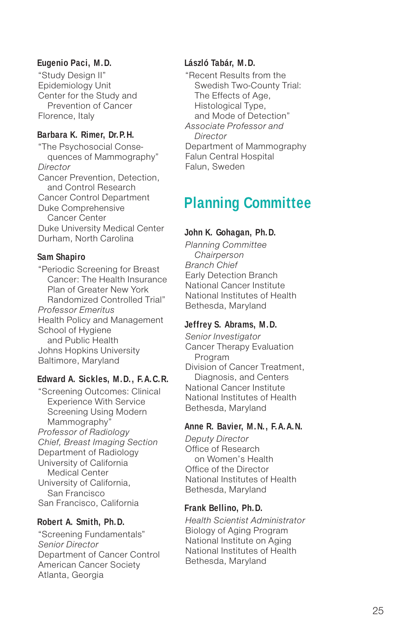#### **Eugenio Paci, M.D.**

"Study Design II" Epidemiology Unit Center for the Study and Prevention of Cancer Florence, Italy

#### **Barbara K. Rimer, Dr.P.H.**

"The Psychosocial Consequences of Mammography" **Director** Cancer Prevention, Detection, and Control Research Cancer Control Department Duke Comprehensive Cancer Center Duke University Medical Center Durham, North Carolina

#### **Sam Shapiro**

"Periodic Screening for Breast Cancer: The Health Insurance Plan of Greater New York Randomized Controlled Trial" Professor Emeritus Health Policy and Management School of Hygiene and Public Health Johns Hopkins University Baltimore, Maryland

#### **Edward A. Sickles, M.D., F.A.C.R.**

"Screening Outcomes: Clinical Experience With Service Screening Using Modern Mammography" Professor of Radiology Chief, Breast Imaging Section Department of Radiology University of California Medical Center University of California, San Francisco San Francisco, California

#### **Robert A. Smith, Ph.D.**

"Screening Fundamentals" Senior Director Department of Cancer Control American Cancer Society Atlanta, Georgia

#### **László Tabár, M.D.**

"Recent Results from the Swedish Two-County Trial: The Effects of Age, Histological Type, and Mode of Detection" Associate Professor and **Director** Department of Mammography Falun Central Hospital Falun, Sweden

# **Planning Committee**

#### **John K. Gohagan, Ph.D.**

Planning Committee **Chairperson** Branch Chief Early Detection Branch National Cancer Institute National Institutes of Health Bethesda, Maryland

#### **Jeffrey S. Abrams, M.D.**

Senior Investigator Cancer Therapy Evaluation Program Division of Cancer Treatment, Diagnosis, and Centers National Cancer Institute National Institutes of Health Bethesda, Maryland

#### **Anne R. Bavier, M.N., F.A.A.N.**

Deputy Director Office of Research on Women's Health Office of the Director National Institutes of Health Bethesda, Maryland

#### **Frank Bellino, Ph.D.**

Health Scientist Administrator Biology of Aging Program National Institute on Aging National Institutes of Health Bethesda, Maryland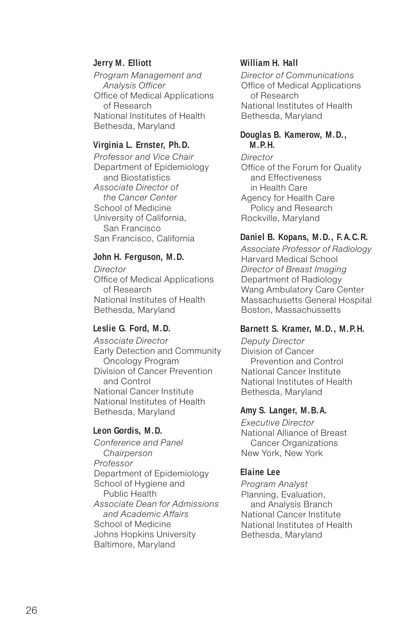#### **Jerry M. Elliott**

Program Management and Analysis Officer Office of Medical Applications of Research National Institutes of Health Bethesda, Maryland

#### **Virginia L. Ernster, Ph.D.**

Professor and Vice Chair Department of Epidemiology and Biostatistics Associate Director of the Cancer Center School of Medicine University of California, San Francisco San Francisco, California

#### **John H. Ferguson, M.D.**

**Director** Office of Medical Applications of Research National Institutes of Health Bethesda, Maryland

#### **Leslie G. Ford, M.D.**

Associate Director Early Detection and Community Oncology Program Division of Cancer Prevention and Control National Cancer Institute National Institutes of Health Bethesda, Maryland

#### **Leon Gordis, M.D.**

Conference and Panel **Chairperson** Professor Department of Epidemiology School of Hygiene and Public Health Associate Dean for Admissions and Academic Affairs School of Medicine Johns Hopkins University Baltimore, Maryland

#### **William H. Hall**

Director of Communications Office of Medical Applications of Research National Institutes of Health Bethesda, Maryland

#### **Douglas B. Kamerow, M.D., M.P.H.**

**Director** Office of the Forum for Quality and Effectiveness in Health Care Agency for Health Care Policy and Research Rockville, Maryland

#### **Daniel B. Kopans, M.D., F.A.C.R.**

Associate Professor of Radiology Harvard Medical School Director of Breast Imaging Department of Radiology Wang Ambulatory Care Center Massachusetts General Hospital Boston, Massachussetts

#### **Barnett S. Kramer, M.D., M.P.H.**

Deputy Director Division of Cancer Prevention and Control National Cancer Institute National Institutes of Health Bethesda, Maryland

#### **Amy S. Langer, M.B.A.**

Executive Director National Alliance of Breast Cancer Organizations New York, New York

#### **Elaine Lee**

Program Analyst Planning, Evaluation, and Analysis Branch National Cancer Institute National Institutes of Health Bethesda, Maryland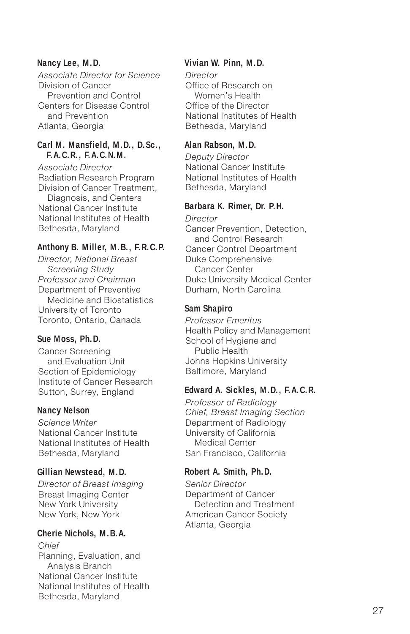#### **Nancy Lee, M.D.**

Associate Director for Science Division of Cancer Prevention and Control Centers for Disease Control and Prevention Atlanta, Georgia

#### **Carl M. Mansfield, M.D., D.Sc., F.A.C.R., F.A.C.N.M.**

Associate Director Radiation Research Program Division of Cancer Treatment, Diagnosis, and Centers National Cancer Institute National Institutes of Health Bethesda, Maryland

#### **Anthony B. Miller, M.B., F.R.C.P.**

Director, National Breast Screening Study Professor and Chairman Department of Preventive Medicine and Biostatistics University of Toronto Toronto, Ontario, Canada

#### **Sue Moss, Ph.D.**

Cancer Screening and Evaluation Unit Section of Epidemiology Institute of Cancer Research Sutton, Surrey, England

#### **Nancy Nelson**

Science Writer National Cancer Institute National Institutes of Health Bethesda, Maryland

#### **Gillian Newstead, M.D.**

Director of Breast Imaging Breast Imaging Center New York University New York, New York

#### **Cherie Nichols, M.B.A.**

Chief Planning, Evaluation, and Analysis Branch National Cancer Institute National Institutes of Health Bethesda, Maryland

#### **Vivian W. Pinn, M.D.**

**Director** Office of Research on Women's Health Office of the Director National Institutes of Health Bethesda, Maryland

#### **Alan Rabson, M.D.**

Deputy Director National Cancer Institute National Institutes of Health Bethesda, Maryland

#### **Barbara K. Rimer, Dr. P.H.**

**Director** Cancer Prevention, Detection, and Control Research Cancer Control Department Duke Comprehensive Cancer Center Duke University Medical Center Durham, North Carolina

#### **Sam Shapiro**

Professor Emeritus Health Policy and Management School of Hygiene and Public Health Johns Hopkins University Baltimore, Maryland

#### **Edward A. Sickles, M.D., F.A.C.R.**

Professor of Radiology Chief, Breast Imaging Section Department of Radiology University of California Medical Center San Francisco, California

#### **Robert A. Smith, Ph.D.**

Senior Director Department of Cancer Detection and Treatment American Cancer Society Atlanta, Georgia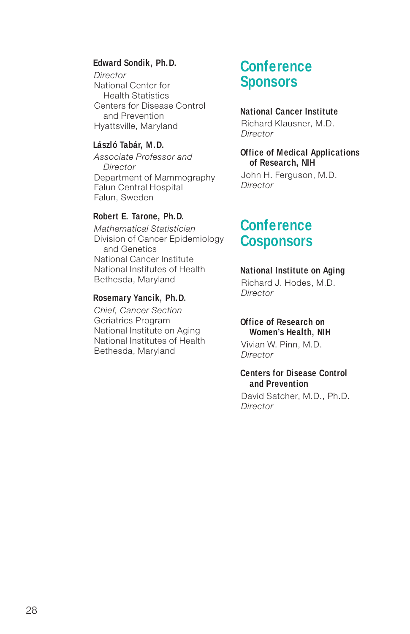#### **Edward Sondik, Ph.D.**

**Director** National Center for Health Statistics Centers for Disease Control and Prevention Hyattsville, Maryland

#### **László Tabár, M.D.**

Associate Professor and **Director** Department of Mammography Falun Central Hospital Falun, Sweden

#### **Robert E. Tarone, Ph.D.**

Mathematical Statistician Division of Cancer Epidemiology and Genetics National Cancer Institute National Institutes of Health Bethesda, Maryland

#### **Rosemary Yancik, Ph.D.**

Chief, Cancer Section Geriatrics Program National Institute on Aging National Institutes of Health Bethesda, Maryland

# **Conference Sponsors**

#### **National Cancer Institute**

Richard Klausner, M.D. **Director** 

#### **Office of Medical Applications of Research, NIH**

John H. Ferguson, M.D. **Director** 

### **Conference Cosponsors**

#### **National Institute on Aging**

Richard J. Hodes, M.D. **Director** 

#### **Office of Research on Women's Health, NIH**

Vivian W. Pinn, M.D. Director

#### **Centers for Disease Control and Prevention**

David Satcher, M.D., Ph.D. **Director**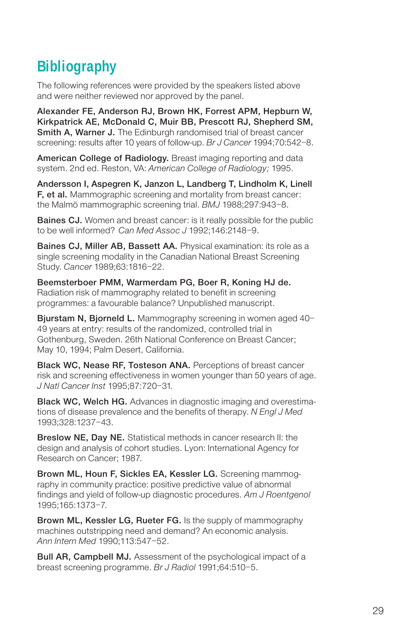# **Bibliography**

The following references were provided by the speakers listed above and were neither reviewed nor approved by the panel.

Alexander FE, Anderson RJ, Brown HK, Forrest APM, Hepburn W, Kirkpatrick AE, McDonald C, Muir BB, Prescott RJ, Shepherd SM, Smith A, Warner J. The Edinburgh randomised trial of breast cancer screening: results after 10 years of follow-up. Br J Cancer 1994;70:542-8.

American College of Radiology. Breast imaging reporting and data system. 2nd ed. Reston, VA: American College of Radiology; 1995.

Andersson I, Aspegren K, Janzon L, Landberg T, Lindholm K, Linell F, et al. Mammographic screening and mortality from breast cancer: the Malmö mammographic screening trial. BMJ 1988;297:943–8.

**Baines CJ.** Women and breast cancer: is it really possible for the public to be well informed? Can Med Assoc J 1992;146:2148–9.

Baines CJ, Miller AB, Bassett AA. Physical examination: its role as a single screening modality in the Canadian National Breast Screening Study. Cancer 1989;63:1816–22.

Beemsterboer PMM, Warmerdam PG, Boer R, Koning HJ de. Radiation risk of mammography related to benefit in screening programmes: a favourable balance? Unpublished manuscript.

Bjurstam N. Biorneld L. Mammography screening in women aged 40-49 years at entry: results of the randomized, controlled trial in Gothenburg, Sweden. 26th National Conference on Breast Cancer; May 10, 1994; Palm Desert, California.

Black WC, Nease RF, Tosteson ANA. Perceptions of breast cancer risk and screening effectiveness in women younger than 50 years of age. J Natl Cancer Inst 1995;87:720–31.

**Black WC, Welch HG.** Advances in diagnostic imaging and overestimations of disease prevalence and the benefits of therapy. N Engl J Med 1993;328:1237–43.

Breslow NE, Day NE. Statistical methods in cancer research II: the design and analysis of cohort studies. Lyon: International Agency for Research on Cancer; 1987.

Brown ML, Houn F, Sickles EA, Kessler LG. Screening mammography in community practice: positive predictive value of abnormal findings and yield of follow-up diagnostic procedures. Am J Roentgenol 1995;165:1373–7.

Brown ML, Kessler LG, Rueter FG. Is the supply of mammography machines outstripping need and demand? An economic analysis. Ann Intern Med 1990;113:547–52.

Bull AR, Campbell MJ. Assessment of the psychological impact of a breast screening programme. Br J Radiol 1991;64:510–5.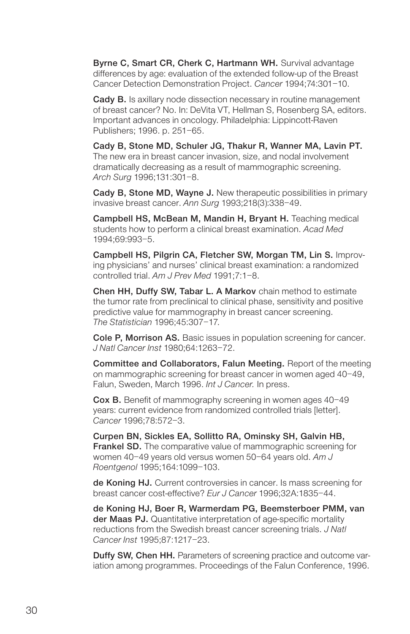Byrne C, Smart CR, Cherk C, Hartmann WH. Survival advantage differences by age: evaluation of the extended follow-up of the Breast Cancer Detection Demonstration Project. Cancer 1994;74:301–10.

Cady B. Is axillary node dissection necessary in routine management of breast cancer? No. In: DeVita VT, Hellman S, Rosenberg SA, editors. Important advances in oncology. Philadelphia: Lippincott-Raven Publishers; 1996. p. 251–65.

Cady B, Stone MD, Schuler JG, Thakur R, Wanner MA, Lavin PT. The new era in breast cancer invasion, size, and nodal involvement dramatically decreasing as a result of mammographic screening. Arch Surg 1996;131:301–8.

Cady B, Stone MD, Wayne J. New therapeutic possibilities in primary invasive breast cancer. Ann Surg 1993;218(3):338–49.

Campbell HS, McBean M, Mandin H, Bryant H. Teaching medical students how to perform a clinical breast examination. Acad Med 1994;69:993–5.

Campbell HS, Pilgrin CA, Fletcher SW, Morgan TM, Lin S. Improving physicians' and nurses' clinical breast examination: a randomized controlled trial. Am J Prev Med 1991;7:1–8.

Chen HH, Duffy SW, Tabar L. A Markov chain method to estimate the tumor rate from preclinical to clinical phase, sensitivity and positive predictive value for mammography in breast cancer screening. The Statistician 1996;45:307–17.

Cole P, Morrison AS. Basic issues in population screening for cancer. J Natl Cancer Inst 1980;64:1263–72.

Committee and Collaborators, Falun Meeting. Report of the meeting on mammographic screening for breast cancer in women aged 40–49, Falun, Sweden, March 1996. Int J Cancer. In press.

Cox B. Benefit of mammography screening in women ages 40–49 years: current evidence from randomized controlled trials [letter]. Cancer 1996;78:572–3.

Curpen BN, Sickles EA, Sollitto RA, Ominsky SH, Galvin HB, **Frankel SD.** The comparative value of mammographic screening for women 40–49 years old versus women 50–64 years old. Am J Roentgenol 1995;164:1099–103.

de Koning HJ. Current controversies in cancer. Is mass screening for breast cancer cost-effective? Eur J Cancer 1996;32A:1835–44.

de Koning HJ, Boer R, Warmerdam PG, Beemsterboer PMM, van der Maas PJ. Quantitative interpretation of age-specific mortality reductions from the Swedish breast cancer screening trials. J Natl Cancer Inst 1995;87:1217–23.

Duffy SW, Chen HH. Parameters of screening practice and outcome variation among programmes. Proceedings of the Falun Conference, 1996.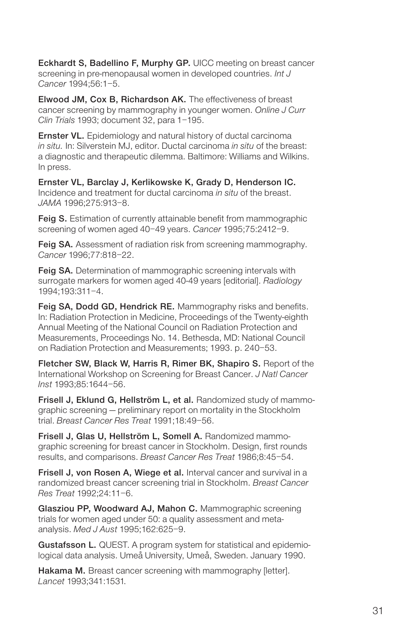Eckhardt S, Badellino F, Murphy GP. UICC meeting on breast cancer screening in pre-menopausal women in developed countries. Int J Cancer 1994;56:1–5.

Elwood JM, Cox B, Richardson AK. The effectiveness of breast cancer screening by mammography in younger women. Online J Curr Clin Trials 1993; document 32, para 1–195.

**Ernster VL.** Epidemiology and natural history of ductal carcinoma in situ. In: Silverstein MJ, editor. Ductal carcinoma in situ of the breast: a diagnostic and therapeutic dilemma. Baltimore: Williams and Wilkins. In press.

Ernster VL, Barclay J, Kerlikowske K, Grady D, Henderson IC. Incidence and treatment for ductal carcinoma in situ of the breast. JAMA 1996;275:913–8.

Feig S. Estimation of currently attainable benefit from mammographic screening of women aged 40–49 years. Cancer 1995;75:2412–9.

Feig SA. Assessment of radiation risk from screening mammography. Cancer 1996;77:818–22.

**Feig SA.** Determination of mammographic screening intervals with surrogate markers for women aged 40-49 years [editorial]. Radiology 1994;193:311–4.

Feig SA, Dodd GD, Hendrick RE. Mammography risks and benefits. In: Radiation Protection in Medicine, Proceedings of the Twenty-eighth Annual Meeting of the National Council on Radiation Protection and Measurements, Proceedings No. 14. Bethesda, MD: National Council on Radiation Protection and Measurements; 1993. p. 240–53.

Fletcher SW, Black W, Harris R, Rimer BK, Shapiro S. Report of the International Workshop on Screening for Breast Cancer. J Natl Cancer Inst 1993;85:1644–56.

Frisell J, Eklund G, Hellström L, et al. Randomized study of mammographic screening — preliminary report on mortality in the Stockholm trial. Breast Cancer Res Treat 1991;18:49–56.

Frisell J, Glas U, Hellström L, Somell A. Randomized mammographic screening for breast cancer in Stockholm. Design, first rounds results, and comparisons. Breast Cancer Res Treat 1986;8:45–54.

Frisell J, von Rosen A, Wiege et al. Interval cancer and survival in a randomized breast cancer screening trial in Stockholm. Breast Cancer Res Treat 1992;24:11–6.

Glasziou PP, Woodward AJ, Mahon C. Mammographic screening trials for women aged under 50: a quality assessment and metaanalysis. Med J Aust 1995;162:625–9.

Gustafsson L. QUEST. A program system for statistical and epidemiological data analysis. Umeå University, Umeå, Sweden. January 1990.

Hakama M. Breast cancer screening with mammography [letter]. Lancet 1993;341:1531.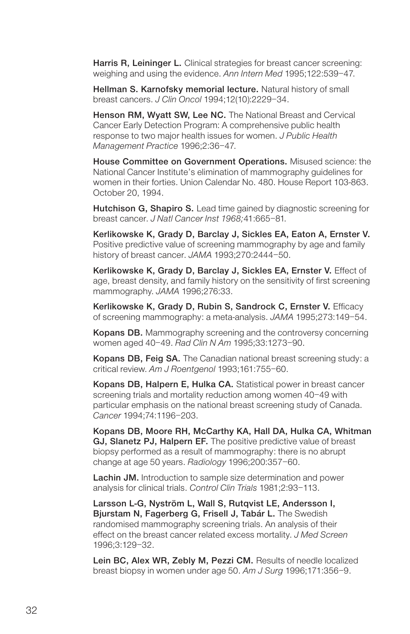Harris R, Leininger L. Clinical strategies for breast cancer screening: weighing and using the evidence. Ann Intern Med 1995;122:539–47.

Hellman S. Karnofsky memorial lecture. Natural history of small breast cancers. J Clin Oncol 1994;12(10):2229–34.

Henson RM, Wyatt SW, Lee NC. The National Breast and Cervical Cancer Early Detection Program: A comprehensive public health response to two major health issues for women. J Public Health Management Practice 1996;2:36–47.

House Committee on Government Operations. Misused science: the National Cancer Institute's elimination of mammography guidelines for women in their forties. Union Calendar No. 480. House Report 103-863. October 20, 1994.

Hutchison G, Shapiro S. Lead time gained by diagnostic screening for breast cancer. J Natl Cancer Inst 1968;41:665–81.

Kerlikowske K, Grady D, Barclay J, Sickles EA, Eaton A, Ernster V. Positive predictive value of screening mammography by age and family history of breast cancer. JAMA 1993;270:2444-50.

Kerlikowske K, Grady D, Barclay J, Sickles EA, Ernster V. Effect of age, breast density, and family history on the sensitivity of first screening mammography. JAMA 1996;276:33.

Kerlikowske K, Grady D, Rubin S, Sandrock C, Ernster V. Efficacy of screening mammography: a meta-analysis. JAMA 1995;273:149–54.

Kopans DB. Mammography screening and the controversy concerning women aged 40–49. Rad Clin N Am 1995;33:1273–90.

Kopans DB, Feig SA. The Canadian national breast screening study: a critical review. Am J Roentgenol 1993;161:755-60.

Kopans DB, Halpern E, Hulka CA. Statistical power in breast cancer screening trials and mortality reduction among women 40–49 with particular emphasis on the national breast screening study of Canada. Cancer 1994;74:1196–203.

Kopans DB, Moore RH, McCarthy KA, Hall DA, Hulka CA, Whitman GJ, Slanetz PJ, Halpern EF. The positive predictive value of breast biopsy performed as a result of mammography: there is no abrupt change at age 50 years. Radiology 1996;200:357–60.

Lachin JM. Introduction to sample size determination and power analysis for clinical trials. Control Clin Trials 1981;2:93–113.

Larsson L-G, Nyström L, Wall S, Rutqvist LE, Andersson I, Bjurstam N, Fagerberg G, Frisell J, Tabár L. The Swedish randomised mammography screening trials. An analysis of their effect on the breast cancer related excess mortality. J Med Screen 1996;3:129–32.

Lein BC, Alex WR, Zebly M, Pezzi CM. Results of needle localized breast biopsy in women under age 50. Am J Surg 1996;171:356–9.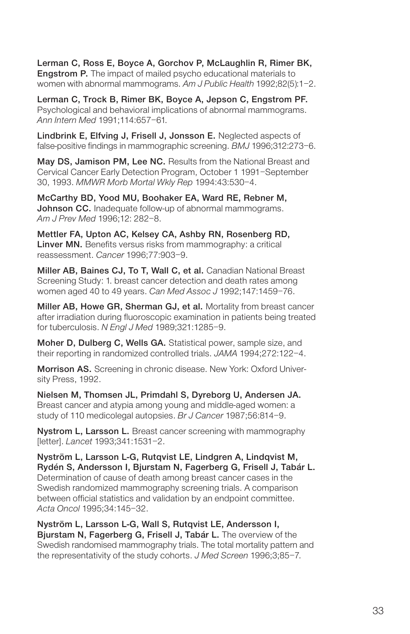Lerman C, Ross E, Boyce A, Gorchov P, McLaughlin R, Rimer BK, Engstrom P. The impact of mailed psycho educational materials to women with abnormal mammograms. Am J Public Health 1992;82(5):1-2.

Lerman C, Trock B, Rimer BK, Boyce A, Jepson C, Engstrom PF. Psychological and behavioral implications of abnormal mammograms. Ann Intern Med 1991;114:657–61.

Lindbrink E, Elfving J, Frisell J, Jonsson E. Neglected aspects of false-positive findings in mammographic screening. BMJ 1996;312:273–6.

May DS, Jamison PM, Lee NC. Results from the National Breast and Cervical Cancer Early Detection Program, October 1 1991–September 30, 1993. MMWR Morb Mortal Wkly Rep 1994:43:530–4.

McCarthy BD, Yood MU, Boohaker EA, Ward RE, Rebner M, Johnson CC. Inadequate follow-up of abnormal mammograms. Am J Prev Med 1996;12: 282–8.

Mettler FA, Upton AC, Kelsey CA, Ashby RN, Rosenberg RD, Linver MN. Benefits versus risks from mammography: a critical reassessment. Cancer 1996;77:903–9.

Miller AB, Baines CJ, To T, Wall C, et al. Canadian National Breast Screening Study: 1. breast cancer detection and death rates among women aged 40 to 49 years. Can Med Assoc J 1992;147:1459–76.

Miller AB, Howe GR, Sherman GJ, et al. Mortality from breast cancer after irradiation during fluoroscopic examination in patients being treated for tuberculosis. N Engl J Med 1989;321:1285–9.

Moher D, Dulberg C, Wells GA. Statistical power, sample size, and their reporting in randomized controlled trials. JAMA 1994;272:122–4.

Morrison AS. Screening in chronic disease. New York: Oxford University Press, 1992.

Nielsen M, Thomsen JL, Primdahl S, Dyreborg U, Andersen JA. Breast cancer and atypia among young and middle-aged women: a study of 110 medicolegal autopsies. Br J Cancer 1987;56:814–9.

Nystrom L, Larsson L. Breast cancer screening with mammography [letter]. Lancet 1993;341:1531–2.

Nyström L, Larsson L-G, Rutqvist LE, Lindgren A, Lindqvist M, Rydén S, Andersson I, Bjurstam N, Fagerberg G, Frisell J, Tabár L. Determination of cause of death among breast cancer cases in the Swedish randomized mammography screening trials. A comparison between official statistics and validation by an endpoint committee. Acta Oncol 1995;34:145–32.

Nyström L, Larsson L-G, Wall S, Rutqvist LE, Andersson I, Bjurstam N, Fagerberg G, Frisell J, Tabár L. The overview of the Swedish randomised mammography trials. The total mortality pattern and the representativity of the study cohorts. J Med Screen 1996;3;85-7.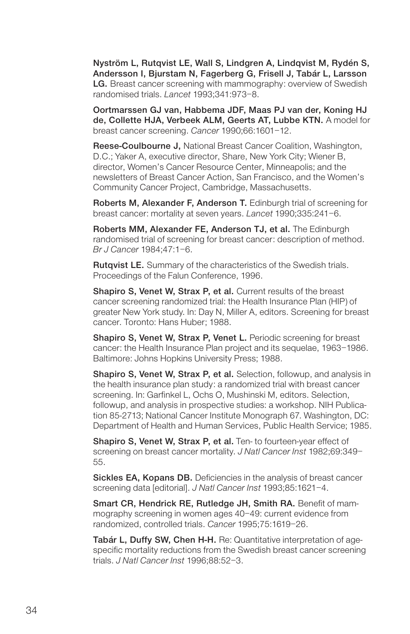Nyström L, Rutqvist LE, Wall S, Lindgren A, Lindqvist M, Rydén S, Andersson I, Bjurstam N, Fagerberg G, Frisell J, Tabár L, Larsson LG. Breast cancer screening with mammography: overview of Swedish randomised trials. Lancet 1993;341:973–8.

Oortmarssen GJ van, Habbema JDF, Maas PJ van der, Koning HJ de, Collette HJA, Verbeek ALM, Geerts AT, Lubbe KTN. A model for breast cancer screening. Cancer 1990;66:1601–12.

Reese-Coulbourne J, National Breast Cancer Coalition, Washington, D.C.; Yaker A, executive director, Share, New York City; Wiener B, director, Women's Cancer Resource Center, Minneapolis; and the newsletters of Breast Cancer Action, San Francisco, and the Women's Community Cancer Project, Cambridge, Massachusetts.

Roberts M, Alexander F, Anderson T. Edinburgh trial of screening for breast cancer: mortality at seven years. Lancet 1990;335:241–6.

Roberts MM, Alexander FE, Anderson TJ, et al. The Edinburgh randomised trial of screening for breast cancer: description of method. Br J Cancer 1984;47:1–6.

Rutqvist LE. Summary of the characteristics of the Swedish trials. Proceedings of the Falun Conference, 1996.

Shapiro S, Venet W, Strax P, et al. Current results of the breast cancer screening randomized trial: the Health Insurance Plan (HIP) of greater New York study. In: Day N, Miller A, editors. Screening for breast cancer. Toronto: Hans Huber; 1988.

Shapiro S, Venet W, Strax P, Venet L. Periodic screening for breast cancer: the Health Insurance Plan project and its sequelae, 1963–1986. Baltimore: Johns Hopkins University Press; 1988.

Shapiro S, Venet W, Strax P, et al. Selection, followup, and analysis in the health insurance plan study: a randomized trial with breast cancer screening. In: Garfinkel L, Ochs O, Mushinski M, editors. Selection, followup, and analysis in prospective studies: a workshop. NIH Publication 85-2713; National Cancer Institute Monograph 67. Washington, DC: Department of Health and Human Services, Public Health Service; 1985.

Shapiro S, Venet W, Strax P, et al. Ten- to fourteen-year effect of screening on breast cancer mortality. J Natl Cancer Inst 1982;69:349-55.

Sickles EA, Kopans DB. Deficiencies in the analysis of breast cancer screening data [editorial]. J Natl Cancer Inst 1993;85:1621-4.

Smart CR, Hendrick RE, Rutledge JH, Smith RA. Benefit of mammography screening in women ages 40–49: current evidence from randomized, controlled trials. Cancer 1995;75:1619–26.

Tabár L, Duffy SW, Chen H-H. Re: Quantitative interpretation of agespecific mortality reductions from the Swedish breast cancer screening trials. J Natl Cancer Inst 1996;88:52–3.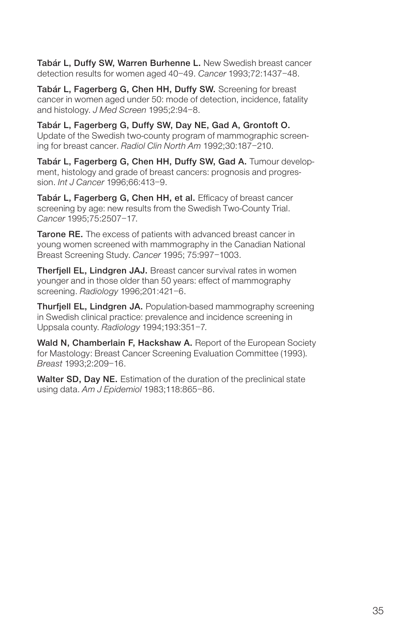Tabár L, Duffy SW, Warren Burhenne L. New Swedish breast cancer detection results for women aged 40–49. Cancer 1993;72:1437–48.

Tabár L, Fagerberg G, Chen HH, Duffy SW. Screening for breast cancer in women aged under 50: mode of detection, incidence, fatality and histology. J Med Screen 1995;2:94–8.

Tabár L, Fagerberg G, Duffy SW, Day NE, Gad A, Grontoft O. Update of the Swedish two-county program of mammographic screening for breast cancer. Radiol Clin North Am 1992;30:187–210.

Tabár L, Fagerberg G, Chen HH, Duffy SW, Gad A. Tumour development, histology and grade of breast cancers: prognosis and progression. Int J Cancer 1996;66:413–9.

Tabár L, Fagerberg G, Chen HH, et al. Efficacy of breast cancer screening by age: new results from the Swedish Two-County Trial. Cancer 1995;75:2507–17.

Tarone RE. The excess of patients with advanced breast cancer in young women screened with mammography in the Canadian National Breast Screening Study. Cancer 1995; 75:997–1003.

**Therfiell EL, Lindgren JAJ.** Breast cancer survival rates in women younger and in those older than 50 years: effect of mammography screening. Radiology 1996;201:421–6.

Thurfjell EL, Lindgren JA. Population-based mammography screening in Swedish clinical practice: prevalence and incidence screening in Uppsala county. Radiology 1994;193:351-7.

Wald N, Chamberlain F, Hackshaw A. Report of the European Society for Mastology: Breast Cancer Screening Evaluation Committee (1993). Breast 1993;2:209–16.

Walter SD, Day NE. Estimation of the duration of the preclinical state using data. Am J Epidemiol 1983;118:865–86.